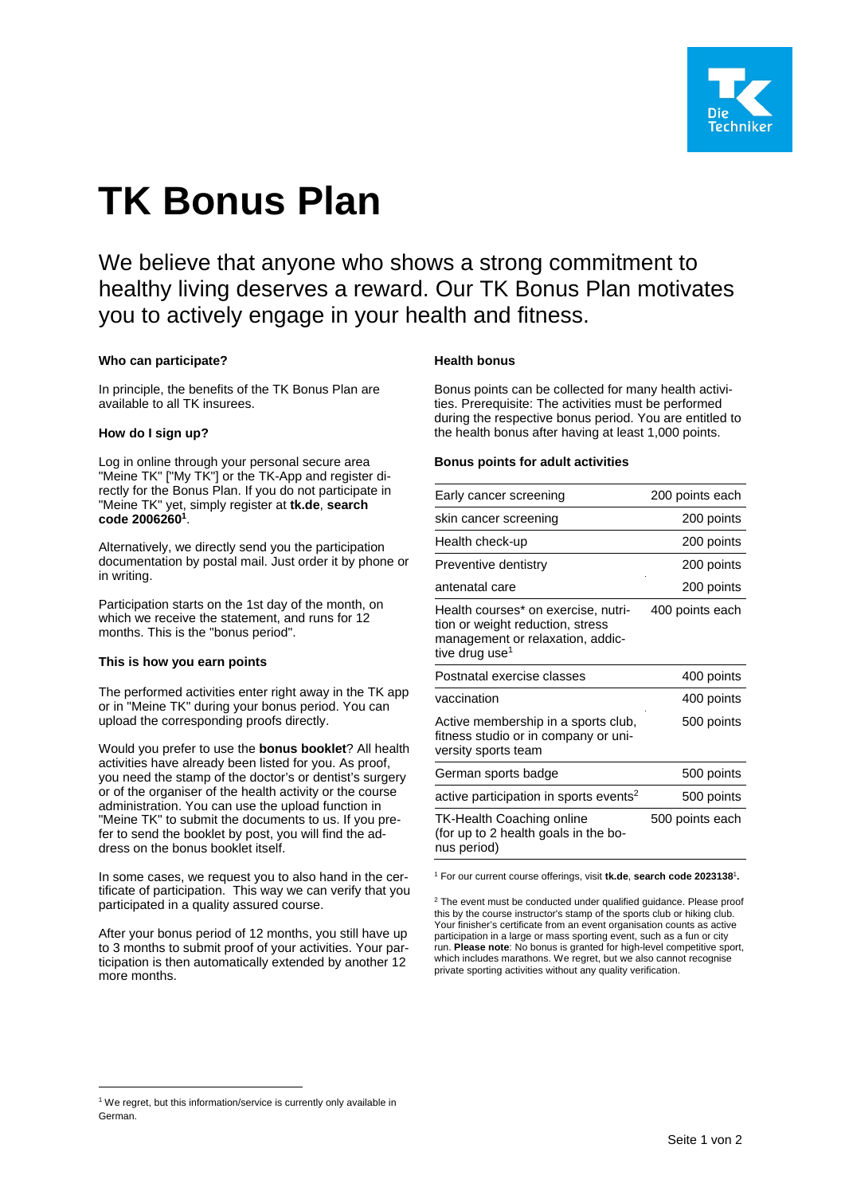

# **TK Bonus Plan**

We believe that anyone who shows a strong commitment to healthy living deserves a reward. Our TK Bonus Plan motivates you to actively engage in your health and fitness.

## **Who can participate?**

In principle, the benefits of the TK Bonus Plan are available to all TK insurees.

## **How do I sign up?**

Log in online through your personal secure area "Meine TK" ["My TK"] or the TK-App and register directly for the Bonus Plan. If you do not participate in "Meine TK" yet, simply register at **tk.de**, **search code 2006260<sup>1</sup>** .

Alternatively, we directly send you the participation documentation by postal mail. Just order it by phone or in writing.

Participation starts on the 1st day of the month, on which we receive the statement, and runs for 12 months. This is the "bonus period".

## **This is how you earn points**

The performed activities enter right away in the TK app or in "Meine TK" during your bonus period. You can upload the corresponding proofs directly.

Would you prefer to use the **bonus booklet**? All health activities have already been listed for you. As proof, you need the stamp of the doctor's or dentist's surgery or of the organiser of the health activity or the course administration. You can use the upload function in "Meine TK" to submit the documents to us. If you prefer to send the booklet by post, you will find the address on the bonus booklet itself.

In some cases, we request you to also hand in the certificate of participation. This way we can verify that you participated in a quality assured course.

After your bonus period of 12 months, you still have up to 3 months to submit proof of your activities. Your participation is then automatically extended by another 12 more months.

## **Health bonus**

Bonus points can be collected for many health activities. Prerequisite: The activities must be performed during the respective bonus period. You are entitled to the health bonus after having at least 1,000 points.

## **Bonus points for adult activities**

| Early cancer screening                                                                                                                    | 200 points each |
|-------------------------------------------------------------------------------------------------------------------------------------------|-----------------|
| skin cancer screening                                                                                                                     | 200 points      |
| Health check-up                                                                                                                           | 200 points      |
| Preventive dentistry                                                                                                                      | 200 points      |
| antenatal care                                                                                                                            | 200 points      |
| Health courses* on exercise, nutri-<br>tion or weight reduction, stress<br>management or relaxation, addic-<br>tive drug use <sup>1</sup> | 400 points each |
| Postnatal exercise classes                                                                                                                | 400 points      |
| vaccination                                                                                                                               | 400 points      |
| Active membership in a sports club,<br>fitness studio or in company or uni-<br>versity sports team                                        | 500 points      |
| German sports badge                                                                                                                       | 500 points      |
| active participation in sports events <sup>2</sup>                                                                                        | 500 points      |
| TK-Health Coaching online<br>(for up to 2 health goals in the bo-<br>nus period)                                                          | 500 points each |
|                                                                                                                                           |                 |

<sup>1</sup> For our current course offerings, visit **tk.de**, **search code 2023138**<sup>1</sup> **.**

 $2$  The event must be conducted under qualified guidance. Please proof this by the course instructor's stamp of the sports club or hiking club. Your finisher's certificate from an event organisation counts as active participation in a large or mass sporting event, such as a fun or city run. **Please note**: No bonus is granted for high-level competitive sport, which includes marathons. We regret, but we also cannot recognise private sporting activities without any quality verification.

<sup>&</sup>lt;sup>1</sup> We regret, but this information/service is currently only available in German.